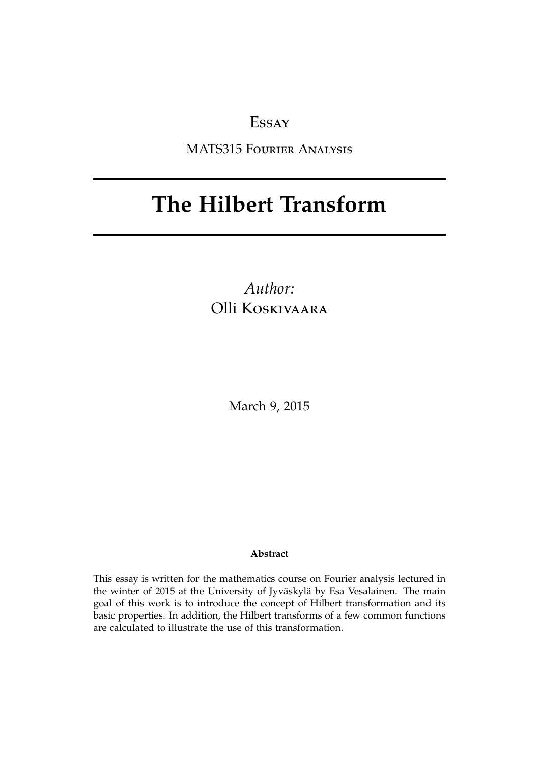# Essay

MATS315 Fourier Analysis

# **The Hilbert Transform**

*Author:* Olli Koskivaara

March 9, 2015

#### **Abstract**

This essay is written for the mathematics course on Fourier analysis lectured in the winter of 2015 at the University of Jyväskylä by Esa Vesalainen. The main goal of this work is to introduce the concept of Hilbert transformation and its basic properties. In addition, the Hilbert transforms of a few common functions are calculated to illustrate the use of this transformation.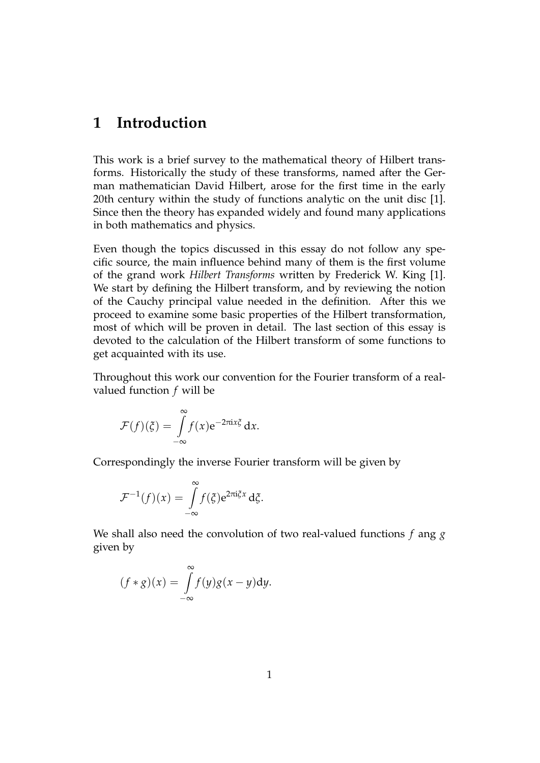## **1 Introduction**

This work is a brief survey to the mathematical theory of Hilbert transforms. Historically the study of these transforms, named after the German mathematician David Hilbert, arose for the first time in the early 20th century within the study of functions analytic on the unit disc [1]. Since then the theory has expanded widely and found many applications in both mathematics and physics.

Even though the topics discussed in this essay do not follow any specific source, the main influence behind many of them is the first volume of the grand work *Hilbert Transforms* written by Frederick W. King [1]. We start by defining the Hilbert transform, and by reviewing the notion of the Cauchy principal value needed in the definition. After this we proceed to examine some basic properties of the Hilbert transformation, most of which will be proven in detail. The last section of this essay is devoted to the calculation of the Hilbert transform of some functions to get acquainted with its use.

Throughout this work our convention for the Fourier transform of a realvalued function *f* will be

$$
\mathcal{F}(f)(\xi) = \int_{-\infty}^{\infty} f(x) e^{-2\pi i x \xi} dx.
$$

Correspondingly the inverse Fourier transform will be given by

$$
\mathcal{F}^{-1}(f)(x) = \int_{-\infty}^{\infty} f(\xi) e^{2\pi i \xi x} d\xi.
$$

We shall also need the convolution of two real-valued functions *f* ang *g* given by

$$
(f * g)(x) = \int_{-\infty}^{\infty} f(y)g(x - y)dy.
$$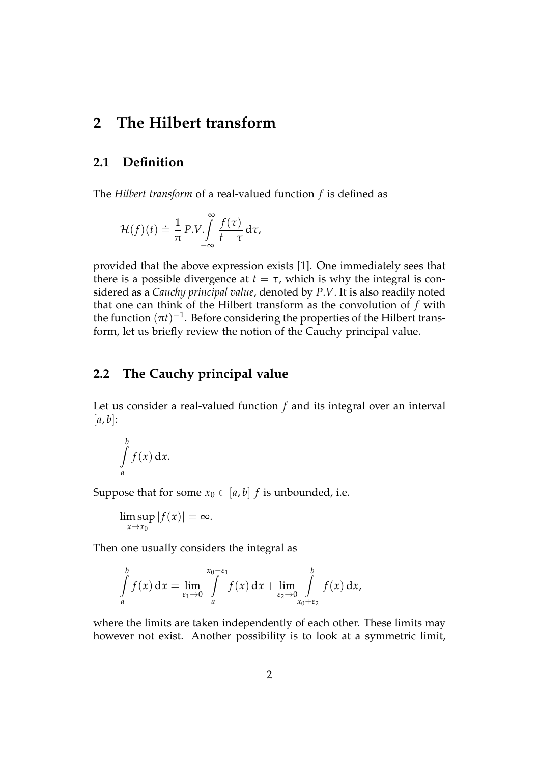## **2 The Hilbert transform**

#### **2.1 Definition**

The *Hilbert transform* of a real-valued function *f* is defined as

$$
\mathcal{H}(f)(t) \doteq \frac{1}{\pi} P.V. \int_{-\infty}^{\infty} \frac{f(\tau)}{t - \tau} d\tau,
$$

provided that the above expression exists [1]. One immediately sees that there is a possible divergence at  $t = \tau$ , which is why the integral is considered as a *Cauchy principal value*, denoted by *P*.*V*. It is also readily noted that one can think of the Hilbert transform as the convolution of *f* with the function  $(\pi t)^{-1}$ . Before considering the properties of the Hilbert transform, let us briefly review the notion of the Cauchy principal value.

## **2.2 The Cauchy principal value**

Let us consider a real-valued function *f* and its integral over an interval  $[a, b]$ :

$$
\int\limits_a^b f(x) \, \mathrm{d} x.
$$

Suppose that for some  $x_0 \in [a, b]$  *f* is unbounded, i.e.

$$
\limsup_{x\to x_0}|f(x)|=\infty.
$$

Then one usually considers the integral as

$$
\int_{a}^{b} f(x) dx = \lim_{\varepsilon_1 \to 0} \int_{a}^{x_0 - \varepsilon_1} f(x) dx + \lim_{\varepsilon_2 \to 0} \int_{x_0 + \varepsilon_2}^{b} f(x) dx,
$$

where the limits are taken independently of each other. These limits may however not exist. Another possibility is to look at a symmetric limit,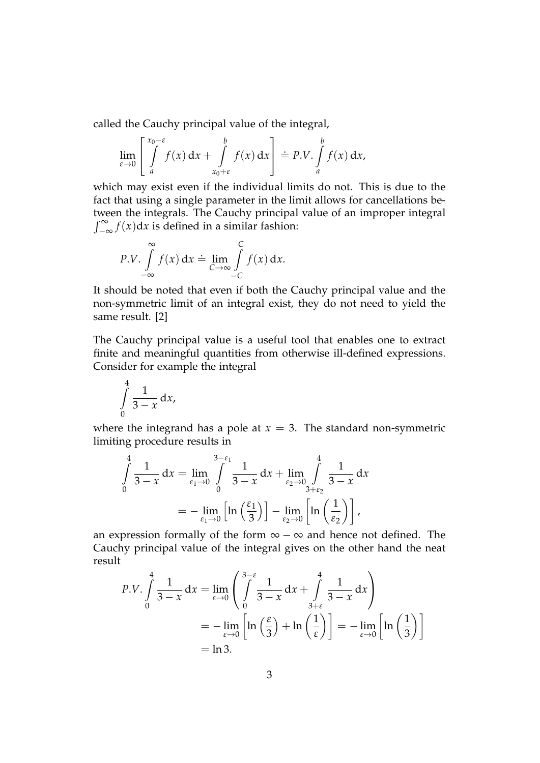called the Cauchy principal value of the integral,

$$
\lim_{\varepsilon \to 0} \left[ \int_{a}^{x_0 - \varepsilon} f(x) \, dx + \int_{x_0 + \varepsilon}^{b} f(x) \, dx \right] \doteq P.V. \int_{a}^{b} f(x) \, dx,
$$

which may exist even if the individual limits do not. This is due to the fact that using a single parameter in the limit allows for cancellations between the integrals. The Cauchy principal value of an improper integral  $\int_{-\infty}^{\infty} f(x) dx$  is defined in a similar fashion:

$$
P.V. \int_{-\infty}^{\infty} f(x) dx \doteq \lim_{C \to \infty} \int_{-C}^{C} f(x) dx.
$$

It should be noted that even if both the Cauchy principal value and the non-symmetric limit of an integral exist, they do not need to yield the same result. [2]

The Cauchy principal value is a useful tool that enables one to extract finite and meaningful quantities from otherwise ill-defined expressions. Consider for example the integral

$$
\int\limits_{0}^{4}\frac{1}{3-x}\,\mathrm{d}x,
$$

where the integrand has a pole at  $x = 3$ . The standard non-symmetric limiting procedure results in

$$
\int_{0}^{4} \frac{1}{3-x} dx = \lim_{\epsilon_1 \to 0} \int_{0}^{3-\epsilon_1} \frac{1}{3-x} dx + \lim_{\epsilon_2 \to 0} \int_{3+\epsilon_2}^{4} \frac{1}{3-x} dx
$$
  
=  $-\lim_{\epsilon_1 \to 0} \left[ \ln \left( \frac{\epsilon_1}{3} \right) \right] - \lim_{\epsilon_2 \to 0} \left[ \ln \left( \frac{1}{\epsilon_2} \right) \right],$ 

an expression formally of the form  $\infty - \infty$  and hence not defined. The Cauchy principal value of the integral gives on the other hand the neat result

$$
P.V. \int_{0}^{4} \frac{1}{3-x} dx = \lim_{\epsilon \to 0} \left( \int_{0}^{3-\epsilon} \frac{1}{3-x} dx + \int_{3+\epsilon}^{4} \frac{1}{3-x} dx \right)
$$
  
=  $-\lim_{\epsilon \to 0} \left[ \ln \left( \frac{\epsilon}{3} \right) + \ln \left( \frac{1}{\epsilon} \right) \right] = -\lim_{\epsilon \to 0} \left[ \ln \left( \frac{1}{3} \right) \right]$   
=  $\ln 3$ .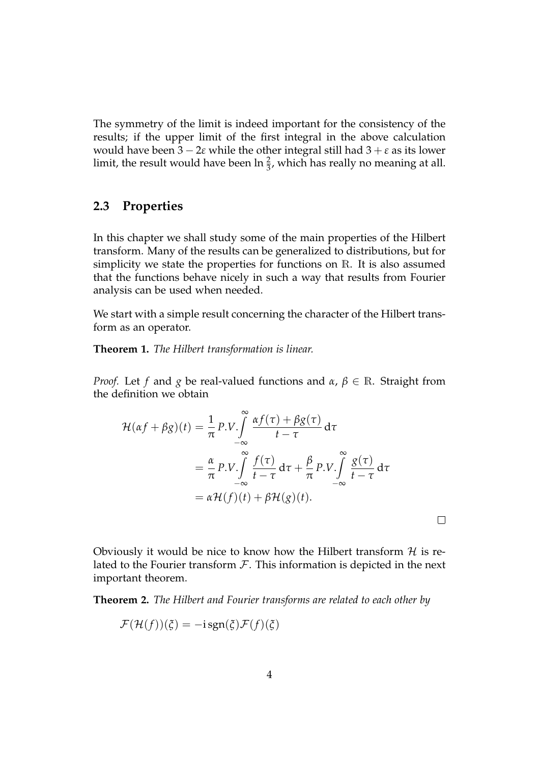The symmetry of the limit is indeed important for the consistency of the results; if the upper limit of the first integral in the above calculation would have been  $3 - 2\varepsilon$  while the other integral still had  $3 + \varepsilon$  as its lower limit, the result would have been  $\ln \frac{2}{3}$ , which has really no meaning at all.

#### **2.3 Properties**

In this chapter we shall study some of the main properties of the Hilbert transform. Many of the results can be generalized to distributions, but for simplicity we state the properties for functions on R. It is also assumed that the functions behave nicely in such a way that results from Fourier analysis can be used when needed.

We start with a simple result concerning the character of the Hilbert transform as an operator.

**Theorem 1.** *The Hilbert transformation is linear.*

*Proof.* Let *f* and *g* be real-valued functions and *α*, *β* ∈ R. Straight from the definition we obtain

$$
\mathcal{H}(\alpha f + \beta g)(t) = \frac{1}{\pi} P.V. \int_{-\infty}^{\infty} \frac{\alpha f(\tau) + \beta g(\tau)}{t - \tau} d\tau \n= \frac{\alpha}{\pi} P.V. \int_{-\infty}^{\infty} \frac{f(\tau)}{t - \tau} d\tau + \frac{\beta}{\pi} P.V. \int_{-\infty}^{\infty} \frac{g(\tau)}{t - \tau} d\tau \n= \alpha \mathcal{H}(f)(t) + \beta \mathcal{H}(g)(t).
$$

Obviously it would be nice to know how the Hilbert transform  $\mathcal H$  is related to the Fourier transform  $F$ . This information is depicted in the next important theorem.

**Theorem 2.** *The Hilbert and Fourier transforms are related to each other by*

$$
\mathcal{F}(\mathcal{H}(f))(\xi) = -i \operatorname{sgn}(\xi) \mathcal{F}(f)(\xi)
$$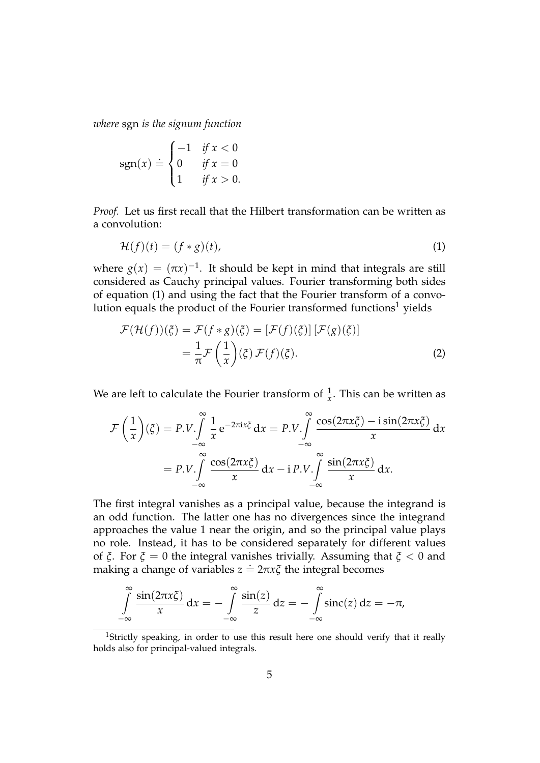*where* sgn *is the signum function*

$$
sgn(x) \doteq \begin{cases} -1 & \text{if } x < 0\\ 0 & \text{if } x = 0\\ 1 & \text{if } x > 0. \end{cases}
$$

*Proof.* Let us first recall that the Hilbert transformation can be written as a convolution:

$$
\mathcal{H}(f)(t) = (f * g)(t),\tag{1}
$$

where  $g(x) = (\pi x)^{-1}$ . It should be kept in mind that integrals are still considered as Cauchy principal values. Fourier transforming both sides of equation (1) and using the fact that the Fourier transform of a convolution equals the product of the Fourier transformed functions<sup>1</sup> yields

$$
\mathcal{F}(\mathcal{H}(f))(\xi) = \mathcal{F}(f * g)(\xi) = [\mathcal{F}(f)(\xi)][\mathcal{F}(g)(\xi)]
$$

$$
= \frac{1}{\pi}\mathcal{F}\left(\frac{1}{x}\right)(\xi)\mathcal{F}(f)(\xi).
$$
(2)

We are left to calculate the Fourier transform of  $\frac{1}{x}$ . This can be written as

$$
\mathcal{F}\left(\frac{1}{x}\right)(\xi) = P.V. \int_{-\infty}^{\infty} \frac{1}{x} e^{-2\pi ix\xi} dx = P.V. \int_{-\infty}^{\infty} \frac{\cos(2\pi x\xi) - i\sin(2\pi x\xi)}{x} dx
$$

$$
= P.V. \int_{-\infty}^{\infty} \frac{\cos(2\pi x\xi)}{x} dx - i\, P.V. \int_{-\infty}^{\infty} \frac{\sin(2\pi x\xi)}{x} dx.
$$

The first integral vanishes as a principal value, because the integrand is an odd function. The latter one has no divergences since the integrand approaches the value 1 near the origin, and so the principal value plays no role. Instead, it has to be considered separately for different values of *ξ*. For *ξ* = 0 the integral vanishes trivially. Assuming that *ξ* < 0 and making a change of variables  $z = 2\pi x \zeta$  the integral becomes

$$
\int_{-\infty}^{\infty} \frac{\sin(2\pi x \xi)}{x} dx = -\int_{-\infty}^{\infty} \frac{\sin(z)}{z} dz = -\int_{-\infty}^{\infty} \operatorname{sinc}(z) dz = -\pi,
$$

<sup>&</sup>lt;sup>1</sup>Strictly speaking, in order to use this result here one should verify that it really holds also for principal-valued integrals.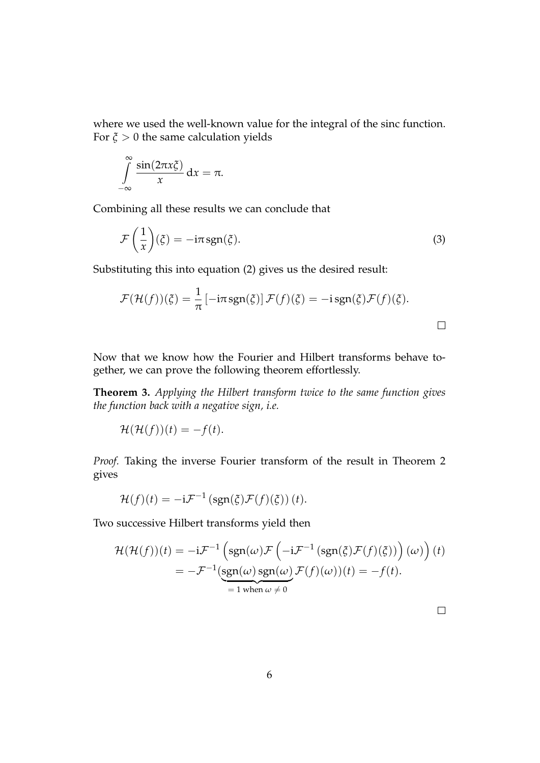where we used the well-known value for the integral of the sinc function. For  $\xi > 0$  the same calculation yields

$$
\int_{-\infty}^{\infty} \frac{\sin(2\pi x \xi)}{x} \, \mathrm{d}x = \pi.
$$

Combining all these results we can conclude that

$$
\mathcal{F}\left(\frac{1}{x}\right)(\xi) = -i\pi \operatorname{sgn}(\xi). \tag{3}
$$

Substituting this into equation (2) gives us the desired result:

$$
\mathcal{F}(\mathcal{H}(f))(\xi) = \frac{1}{\pi} \left[ -i\pi \operatorname{sgn}(\xi) \right] \mathcal{F}(f)(\xi) = -i \operatorname{sgn}(\xi) \mathcal{F}(f)(\xi).
$$

Now that we know how the Fourier and Hilbert transforms behave together, we can prove the following theorem effortlessly.

**Theorem 3.** *Applying the Hilbert transform twice to the same function gives the function back with a negative sign, i.e.*

$$
\mathcal{H}(\mathcal{H}(f))(t) = -f(t).
$$

*Proof.* Taking the inverse Fourier transform of the result in Theorem 2 gives

$$
\mathcal{H}(f)(t) = -i\mathcal{F}^{-1}(\text{sgn}(\xi)\mathcal{F}(f)(\xi))(t).
$$

Two successive Hilbert transforms yield then

$$
\mathcal{H}(\mathcal{H}(f))(t) = -i\mathcal{F}^{-1}\left(\text{sgn}(\omega)\mathcal{F}\left(-i\mathcal{F}^{-1}\left(\text{sgn}(\xi)\mathcal{F}(f)(\xi)\right)\right)(\omega)\right)(t) \n= -\mathcal{F}^{-1}\left(\text{sgn}(\omega)\text{sgn}(\omega)\mathcal{F}(f)(\omega))(t) = -f(t).
$$
\n
$$
= 1 \text{ when } \omega \neq 0
$$

 $\Box$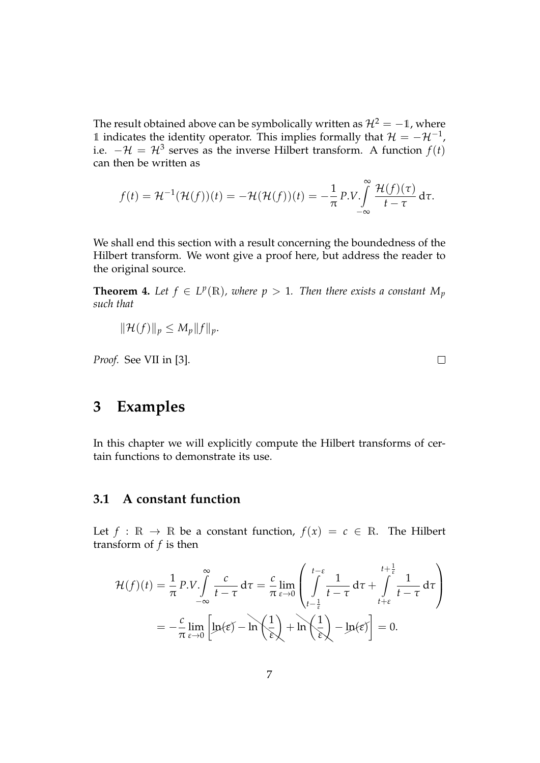The result obtained above can be symbolically written as  $\mathcal{H}^2 = -1$ , where 1 indicates the identity operator. This implies formally that  $\mathcal{H} = -\mathcal{H}^{-1}$ , i.e.  $-\mathcal{H} = \mathcal{H}^3$  serves as the inverse Hilbert transform. A function  $f(t)$ can then be written as

$$
f(t) = \mathcal{H}^{-1}(\mathcal{H}(f))(t) = -\mathcal{H}(\mathcal{H}(f))(t) = -\frac{1}{\pi} P.V. \int_{-\infty}^{\infty} \frac{\mathcal{H}(f)(\tau)}{t - \tau} d\tau.
$$

We shall end this section with a result concerning the boundedness of the Hilbert transform. We wont give a proof here, but address the reader to the original source.

**Theorem 4.** Let  $f \in L^p(\mathbb{R})$ , where  $p > 1$ . Then there exists a constant  $M_p$ *such that*

$$
\|\mathcal{H}(f)\|_p \le M_p \|f\|_p.
$$

*Proof.* See VII in [3].

**3 Examples**

In this chapter we will explicitly compute the Hilbert transforms of certain functions to demonstrate its use.

## **3.1 A constant function**

Let  $f : \mathbb{R} \to \mathbb{R}$  be a constant function,  $f(x) = c \in \mathbb{R}$ . The Hilbert transform of *f* is then

$$
\mathcal{H}(f)(t) = \frac{1}{\pi} P.V. \int_{-\infty}^{\infty} \frac{c}{t - \tau} d\tau = \frac{c}{\pi} \lim_{\epsilon \to 0} \left( \int_{t - \frac{1}{\epsilon}}^{t - \epsilon} \frac{1}{t - \tau} d\tau + \int_{t + \epsilon}^{t + \frac{1}{\epsilon}} \frac{1}{t - \tau} d\tau \right)
$$

$$
= -\frac{c}{\pi} \lim_{\epsilon \to 0} \left[ \ln(\epsilon) - \ln\left(\frac{1}{\epsilon}\right) + \ln\left(\frac{1}{\epsilon}\right) - \ln(\epsilon) \right] = 0.
$$

 $\Box$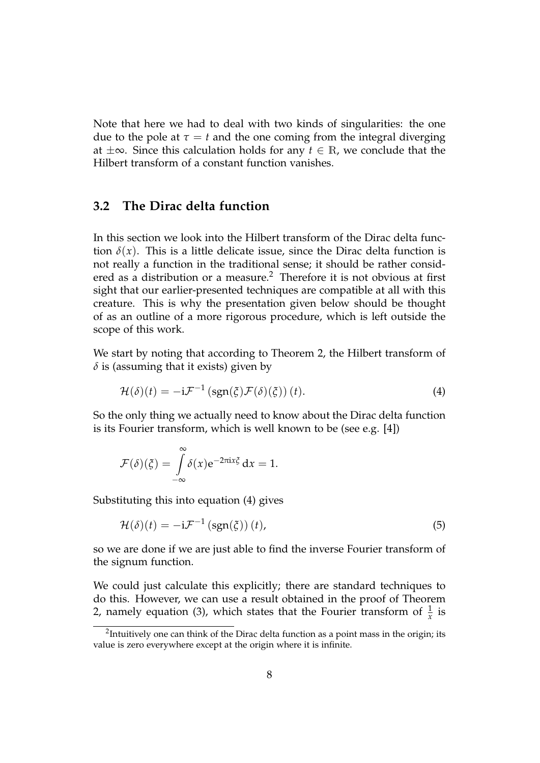Note that here we had to deal with two kinds of singularities: the one due to the pole at  $\tau = t$  and the one coming from the integral diverging at ±∞. Since this calculation holds for any *t* ∈ R, we conclude that the Hilbert transform of a constant function vanishes.

#### **3.2 The Dirac delta function**

In this section we look into the Hilbert transform of the Dirac delta function  $\delta(x)$ . This is a little delicate issue, since the Dirac delta function is not really a function in the traditional sense; it should be rather considered as a distribution or a measure.<sup>2</sup> Therefore it is not obvious at first sight that our earlier-presented techniques are compatible at all with this creature. This is why the presentation given below should be thought of as an outline of a more rigorous procedure, which is left outside the scope of this work.

We start by noting that according to Theorem 2, the Hilbert transform of *δ* is (assuming that it exists) given by

$$
\mathcal{H}(\delta)(t) = -i\mathcal{F}^{-1}\left(\text{sgn}(\xi)\mathcal{F}(\delta)(\xi)\right)(t). \tag{4}
$$

So the only thing we actually need to know about the Dirac delta function is its Fourier transform, which is well known to be (see e.g. [4])

$$
\mathcal{F}(\delta)(\xi) = \int_{-\infty}^{\infty} \delta(x) e^{-2\pi i x \xi} dx = 1.
$$

Substituting this into equation (4) gives

$$
\mathcal{H}(\delta)(t) = -i\mathcal{F}^{-1}\left(\text{sgn}(\xi)\right)(t),\tag{5}
$$

so we are done if we are just able to find the inverse Fourier transform of the signum function.

We could just calculate this explicitly; there are standard techniques to do this. However, we can use a result obtained in the proof of Theorem 2, namely equation (3), which states that the Fourier transform of  $\frac{1}{x}$  is

 $^2$ Intuitively one can think of the Dirac delta function as a point mass in the origin; its value is zero everywhere except at the origin where it is infinite.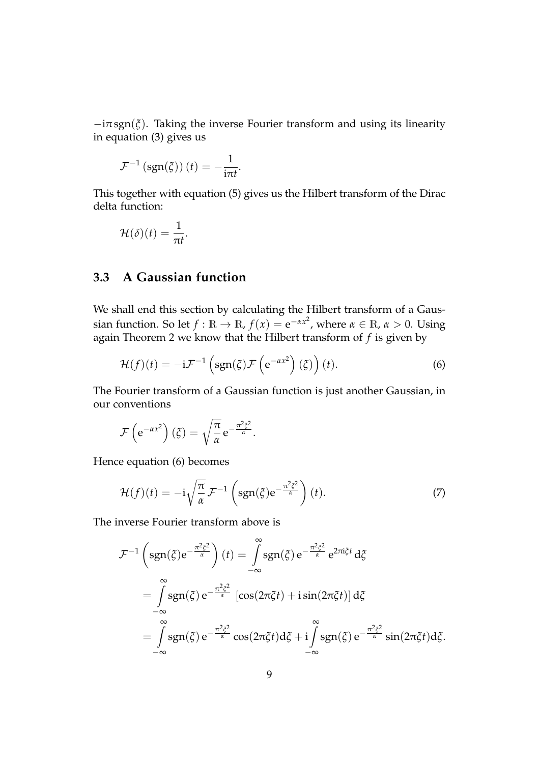$-i\pi sgn(\zeta)$ . Taking the inverse Fourier transform and using its linearity in equation (3) gives us

$$
\mathcal{F}^{-1}\left(\text{sgn}(\xi)\right)(t) = -\frac{1}{i\pi t}.
$$

This together with equation (5) gives us the Hilbert transform of the Dirac delta function:

$$
\mathcal{H}(\delta)(t)=\frac{1}{\pi t}.
$$

## **3.3 A Gaussian function**

We shall end this section by calculating the Hilbert transform of a Gaussian function. So let  $f : \mathbb{R} \to \mathbb{R}$ ,  $f(x) = e^{-\alpha x^2}$ , where  $\alpha \in \mathbb{R}$ ,  $\alpha > 0$ . Using again Theorem 2 we know that the Hilbert transform of *f* is given by

$$
\mathcal{H}(f)(t) = -i\mathcal{F}^{-1}\left(\text{sgn}(\xi)\mathcal{F}\left(e^{-\alpha x^2}\right)(\xi)\right)(t). \tag{6}
$$

The Fourier transform of a Gaussian function is just another Gaussian, in our conventions

$$
\mathcal{F}\left(e^{-\alpha x^2}\right)(\xi) = \sqrt{\frac{\pi}{\alpha}} e^{-\frac{\pi^2 \xi^2}{\alpha}}.
$$

Hence equation (6) becomes

$$
\mathcal{H}(f)(t) = -i\sqrt{\frac{\pi}{\alpha}} \mathcal{F}^{-1}\left(\text{sgn}(\xi)e^{-\frac{\pi^2\xi^2}{\alpha}}\right)(t). \tag{7}
$$

The inverse Fourier transform above is

$$
\mathcal{F}^{-1}\left(\text{sgn}(\xi)e^{-\frac{\pi^2\xi^2}{\alpha}}\right)(t) = \int_{-\infty}^{\infty}\text{sgn}(\xi)e^{-\frac{\pi^2\xi^2}{\alpha}}e^{2\pi i\xi t}d\xi
$$

$$
= \int_{-\infty}^{\infty}\text{sgn}(\xi)e^{-\frac{\pi^2\xi^2}{\alpha}}\left[\cos(2\pi\xi t) + i\sin(2\pi\xi t)\right]d\xi
$$

$$
= \int_{-\infty}^{\infty}\text{sgn}(\xi)e^{-\frac{\pi^2\xi^2}{\alpha}}\cos(2\pi\xi t)d\xi + i\int_{-\infty}^{\infty}\text{sgn}(\xi)e^{-\frac{\pi^2\xi^2}{\alpha}}\sin(2\pi\xi t)d\xi.
$$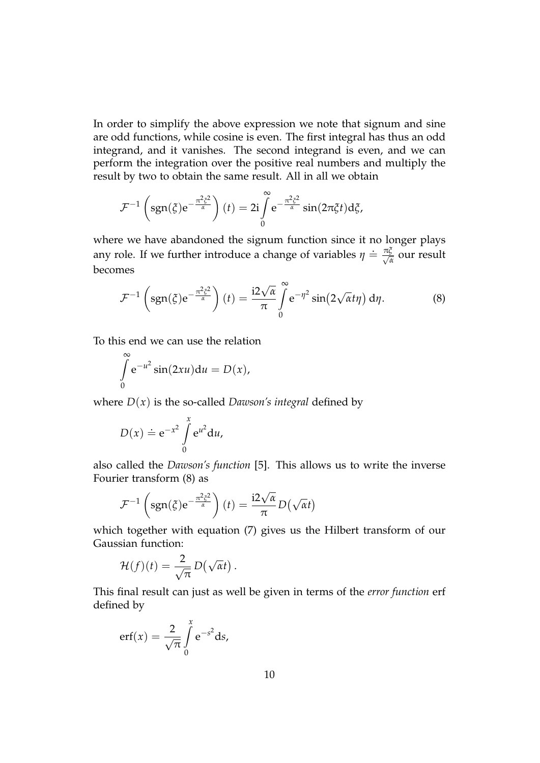In order to simplify the above expression we note that signum and sine are odd functions, while cosine is even. The first integral has thus an odd integrand, and it vanishes. The second integrand is even, and we can perform the integration over the positive real numbers and multiply the result by two to obtain the same result. All in all we obtain

$$
\mathcal{F}^{-1}\left(\text{sgn}(\xi)e^{-\frac{\pi^2\xi^2}{\alpha}}\right)(t) = 2i\int\limits_0^\infty e^{-\frac{\pi^2\xi^2}{\alpha}}\sin(2\pi\xi t)d\xi,
$$

where we have abandoned the signum function since it no longer plays any role. If we further introduce a change of variables  $\eta = \frac{\pi \zeta}{\sqrt{\lambda}}$ <del>μ</del> our result becomes

$$
\mathcal{F}^{-1}\left(\text{sgn}(\xi)e^{-\frac{\pi^2\xi^2}{\alpha}}\right)(t) = \frac{\mathrm{i}2\sqrt{\alpha}}{\pi}\int\limits_{0}^{\infty} e^{-\eta^2}\sin(2\sqrt{\alpha}t\eta)\,\mathrm{d}\eta. \tag{8}
$$

To this end we can use the relation

$$
\int_{0}^{\infty} e^{-u^{2}} \sin(2xu) du = D(x),
$$

where  $D(x)$  is the so-called *Dawson's integral* defined by

$$
D(x) \doteq e^{-x^2} \int\limits_0^x e^{u^2} du,
$$

also called the *Dawson's function* [5]. This allows us to write the inverse Fourier transform (8) as

$$
\mathcal{F}^{-1}\left(\text{sgn}(\xi)e^{-\frac{\pi^2\xi^2}{\alpha}}\right)(t) = \frac{\mathrm{i}2\sqrt{\alpha}}{\pi}D(\sqrt{\alpha}t)
$$

which together with equation (7) gives us the Hilbert transform of our Gaussian function:

$$
\mathcal{H}(f)(t) = \frac{2}{\sqrt{\pi}} D(\sqrt{\alpha}t).
$$

This final result can just as well be given in terms of the *error function* erf defined by

$$
erf(x) = \frac{2}{\sqrt{\pi}} \int_{0}^{x} e^{-s^2} ds,
$$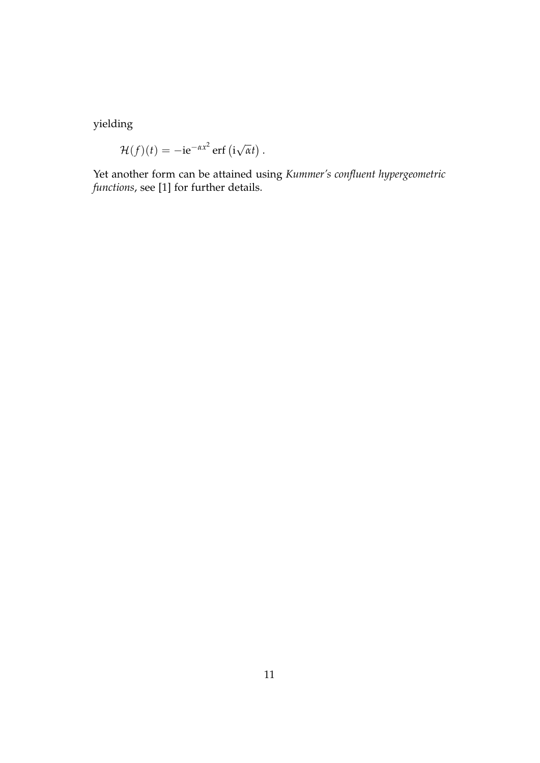yielding

$$
\mathcal{H}(f)(t) = -ie^{-\alpha x^2} \operatorname{erf} (i\sqrt{\alpha}t).
$$

Yet another form can be attained using *Kummer's confluent hypergeometric functions*, see [1] for further details.